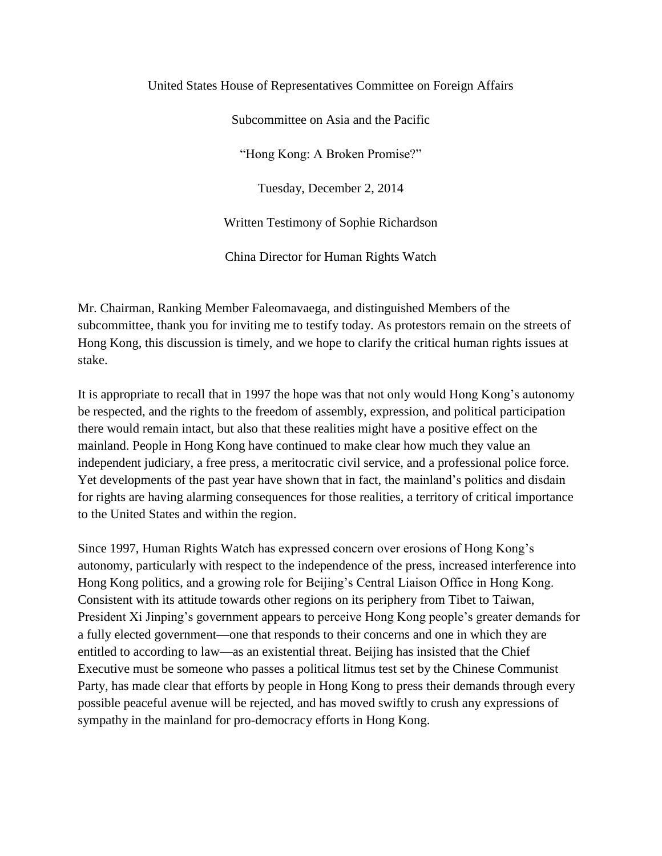#### United States House of Representatives Committee on Foreign Affairs

Subcommittee on Asia and the Pacific

"Hong Kong: A Broken Promise?"

Tuesday, December 2, 2014

Written Testimony of Sophie Richardson

China Director for Human Rights Watch

Mr. Chairman, Ranking Member Faleomavaega, and distinguished Members of the subcommittee, thank you for inviting me to testify today. As protestors remain on the streets of Hong Kong, this discussion is timely, and we hope to clarify the critical human rights issues at stake.

It is appropriate to recall that in 1997 the hope was that not only would Hong Kong's autonomy be respected, and the rights to the freedom of assembly, expression, and political participation there would remain intact, but also that these realities might have a positive effect on the mainland. People in Hong Kong have continued to make clear how much they value an independent judiciary, a free press, a meritocratic civil service, and a professional police force. Yet developments of the past year have shown that in fact, the mainland's politics and disdain for rights are having alarming consequences for those realities, a territory of critical importance to the United States and within the region.

Since 1997, Human Rights Watch has expressed concern over erosions of Hong Kong's autonomy, particularly with respect to the independence of the press, increased interference into Hong Kong politics, and a growing role for Beijing's Central Liaison Office in Hong Kong. Consistent with its attitude towards other regions on its periphery from Tibet to Taiwan, President Xi Jinping's government appears to perceive Hong Kong people's greater demands for a fully elected government—one that responds to their concerns and one in which they are entitled to according to law—as an existential threat. Beijing has insisted that the Chief Executive must be someone who passes a political litmus test set by the Chinese Communist Party, has made clear that efforts by people in Hong Kong to press their demands through every possible peaceful avenue will be rejected, and has moved swiftly to crush any expressions of sympathy in the mainland for pro-democracy efforts in Hong Kong.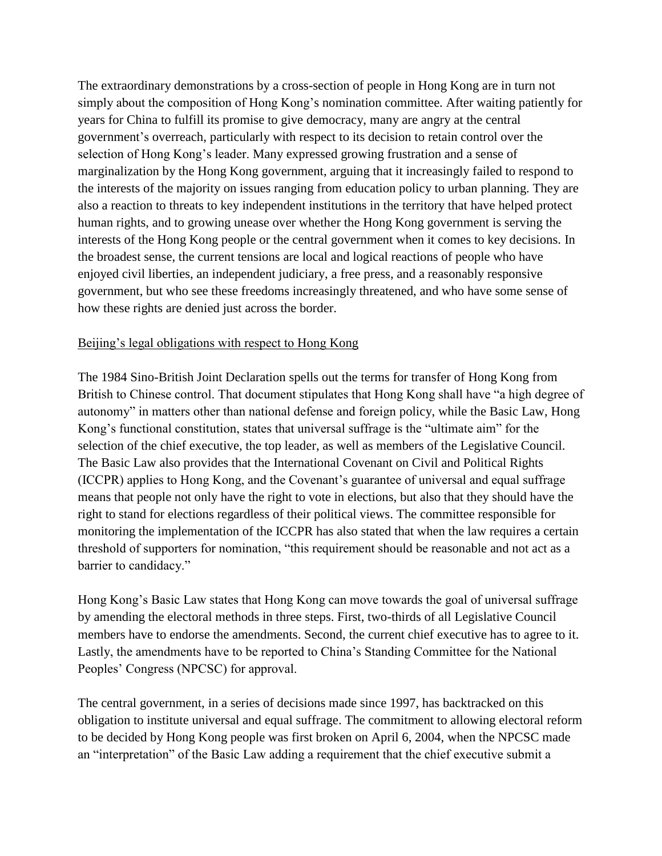The extraordinary demonstrations by a cross-section of people in Hong Kong are in turn not simply about the composition of Hong Kong's nomination committee. After waiting patiently for years for China to fulfill its promise to give democracy, many are angry at the central government's overreach, particularly with respect to its decision to retain control over the selection of Hong Kong's leader. Many expressed growing frustration and a sense of marginalization by the Hong Kong government, arguing that it increasingly failed to respond to the interests of the majority on issues ranging from education policy to urban planning. They are also a reaction to threats to key independent institutions in the territory that have helped protect human rights, and to growing unease over whether the Hong Kong government is serving the interests of the Hong Kong people or the central government when it comes to key decisions. In the broadest sense, the current tensions are local and logical reactions of people who have enjoyed civil liberties, an independent judiciary, a free press, and a reasonably responsive government, but who see these freedoms increasingly threatened, and who have some sense of how these rights are denied just across the border.

### Beijing's legal obligations with respect to Hong Kong

The 1984 Sino-British Joint Declaration spells out the terms for transfer of Hong Kong from British to Chinese control. That document stipulates that Hong Kong shall have "a high degree of autonomy" in matters other than national defense and foreign policy, while the Basic Law, Hong Kong's functional constitution, states that universal suffrage is the "ultimate aim" for the selection of the chief executive, the top leader, as well as members of the Legislative Council. The Basic Law also provides that the International Covenant on Civil and Political Rights (ICCPR) applies to Hong Kong, and the Covenant's guarantee of universal and equal suffrage means that people not only have the right to vote in elections, but also that they should have the right to stand for elections regardless of their political views. The committee responsible for monitoring the implementation of the ICCPR has also stated that when the law requires a certain threshold of supporters for nomination, "this requirement should be reasonable and not act as a barrier to candidacy."

Hong Kong's Basic Law states that Hong Kong can move towards the goal of universal suffrage by amending the electoral methods in three steps. First, two-thirds of all Legislative Council members have to endorse the amendments. Second, the current chief executive has to agree to it. Lastly, the amendments have to be reported to China's Standing Committee for the National Peoples' Congress (NPCSC) for approval.

The central government, in a series of decisions made since 1997, has backtracked on this obligation to institute universal and equal suffrage. The commitment to allowing electoral reform to be decided by Hong Kong people was first broken on April 6, 2004, when the NPCSC made an "interpretation" of the Basic Law adding a requirement that the chief executive submit a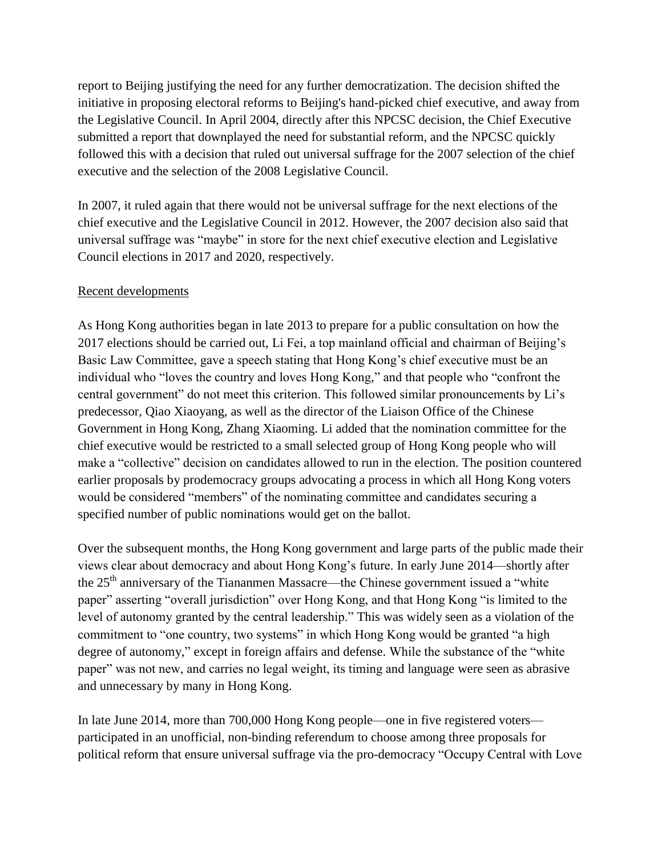report to Beijing justifying the need for any further democratization. The decision shifted the initiative in proposing electoral reforms to Beijing's hand-picked chief executive, and away from the Legislative Council. In April 2004, directly after this NPCSC decision, the Chief Executive submitted a report that downplayed the need for substantial reform, and the NPCSC quickly followed this with a decision that ruled out universal suffrage for the 2007 selection of the chief executive and the selection of the 2008 Legislative Council.

In 2007, it ruled again that there would not be universal suffrage for the next elections of the chief executive and the Legislative Council in 2012. However, the 2007 decision also said that universal suffrage was "maybe" in store for the next chief executive election and Legislative Council elections in 2017 and 2020, respectively.

# Recent developments

As Hong Kong authorities began in late 2013 to prepare for a public consultation on how the 2017 elections should be carried out, Li Fei, a top mainland official and chairman of Beijing's Basic Law Committee, gave a speech stating that Hong Kong's chief executive must be an individual who "loves the country and loves Hong Kong," and that people who "confront the central government" do not meet this criterion. This followed similar pronouncements by Li's predecessor, Qiao Xiaoyang, as well as the director of the Liaison Office of the Chinese Government in Hong Kong, Zhang Xiaoming. Li added that the nomination committee for the chief executive would be restricted to a small selected group of Hong Kong people who will make a "collective" decision on candidates allowed to run in the election. The position countered earlier proposals by prodemocracy groups advocating a process in which all Hong Kong voters would be considered "members" of the nominating committee and candidates securing a specified number of public nominations would get on the ballot.

Over the subsequent months, the Hong Kong government and large parts of the public made their views clear about democracy and about Hong Kong's future. In early June 2014—shortly after the 25<sup>th</sup> anniversary of the Tiananmen Massacre—the Chinese government issued a "white" paper" asserting "overall jurisdiction" over Hong Kong, and that Hong Kong "is limited to the level of autonomy granted by the central leadership." This was widely seen as a violation of the commitment to "one country, two systems" in which Hong Kong would be granted "a high degree of autonomy," except in foreign affairs and defense. While the substance of the "white paper" was not new, and carries no legal weight, its timing and language were seen as abrasive and unnecessary by many in Hong Kong.

In late June 2014, more than 700,000 Hong Kong people—one in five registered voters participated in an unofficial, non-binding referendum to choose among three proposals for political reform that ensure universal suffrage via the pro-democracy "Occupy Central with Love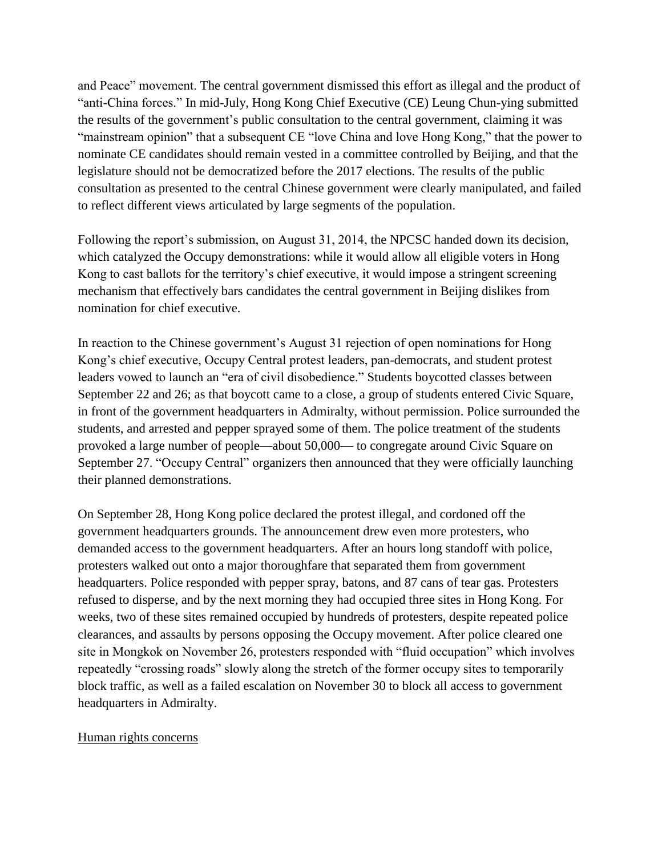and Peace" movement. The central government dismissed this effort as illegal and the product of "anti-China forces." In mid-July, Hong Kong Chief Executive (CE) Leung Chun-ying submitted the results of the government's public consultation to the central government, claiming it was "mainstream opinion" that a subsequent CE "love China and love Hong Kong," that the power to nominate CE candidates should remain vested in a committee controlled by Beijing, and that the legislature should not be democratized before the 2017 elections. The results of the public consultation as presented to the central Chinese government were clearly manipulated, and failed to reflect different views articulated by large segments of the population.

Following the report's submission, on August 31, 2014, the NPCSC handed down its decision, which catalyzed the Occupy demonstrations: while it would allow all eligible voters in Hong Kong to cast ballots for the territory's chief executive, it would impose a stringent screening mechanism that effectively bars candidates the central government in Beijing dislikes from nomination for chief executive.

In reaction to the Chinese government's August 31 rejection of open nominations for Hong Kong's chief executive, Occupy Central protest leaders, pan-democrats, and student protest leaders vowed to launch an "era of civil disobedience." Students boycotted classes between September 22 and 26; as that boycott came to a close, a group of students entered Civic Square, in front of the government headquarters in Admiralty, without permission. Police surrounded the students, and arrested and pepper sprayed some of them. The police treatment of the students provoked a large number of people—about 50,000— to congregate around Civic Square on September 27. "Occupy Central" organizers then announced that they were officially launching their planned demonstrations.

On September 28, Hong Kong police declared the protest illegal, and cordoned off the government headquarters grounds. The announcement drew even more protesters, who demanded access to the government headquarters. After an hours long standoff with police, protesters walked out onto a major thoroughfare that separated them from government headquarters. Police responded with pepper spray, batons, and 87 cans of tear gas. Protesters refused to disperse, and by the next morning they had occupied three sites in Hong Kong. For weeks, two of these sites remained occupied by hundreds of protesters, despite repeated police clearances, and assaults by persons opposing the Occupy movement. After police cleared one site in Mongkok on November 26, protesters responded with "fluid occupation" which involves repeatedly "crossing roads" slowly along the stretch of the former occupy sites to temporarily block traffic, as well as a failed escalation on November 30 to block all access to government headquarters in Admiralty.

### Human rights concerns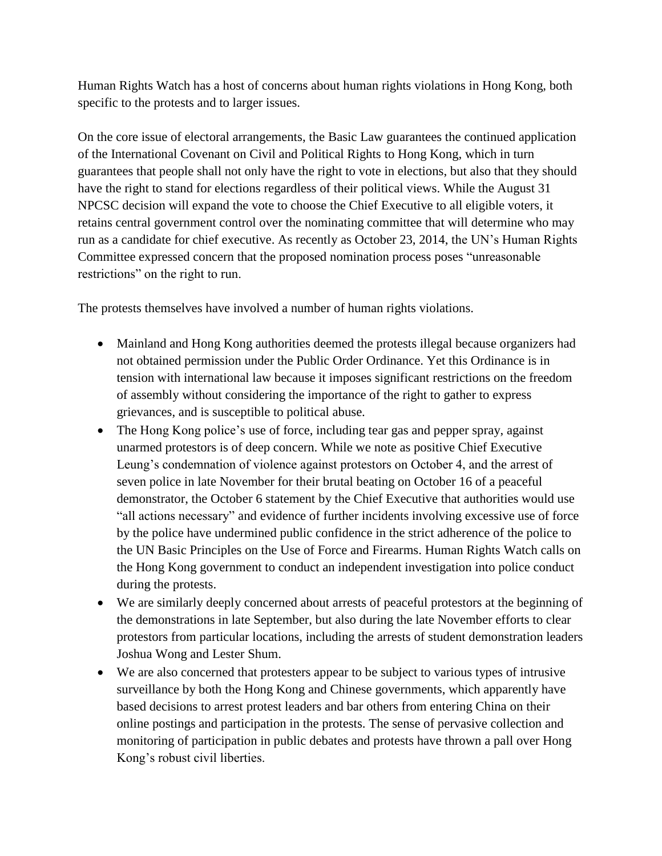Human Rights Watch has a host of concerns about human rights violations in Hong Kong, both specific to the protests and to larger issues.

On the core issue of electoral arrangements, the Basic Law guarantees the continued application of the International Covenant on Civil and Political Rights to Hong Kong, which in turn guarantees that people shall not only have the right to vote in elections, but also that they should have the right to stand for elections regardless of their political views. While the August 31 NPCSC decision will expand the vote to choose the Chief Executive to all eligible voters, it retains central government control over the nominating committee that will determine who may run as a candidate for chief executive. As recently as October 23, 2014, the UN's Human Rights Committee expressed concern that the proposed nomination process poses "unreasonable restrictions" on the right to run.

The protests themselves have involved a number of human rights violations.

- Mainland and Hong Kong authorities deemed the protests illegal because organizers had not obtained permission under the Public Order Ordinance. Yet this Ordinance is in tension with international law because it imposes significant restrictions on the freedom of assembly without considering the importance of the right to gather to express grievances, and is susceptible to political abuse.
- The Hong Kong police's use of force, including tear gas and pepper spray, against unarmed protestors is of deep concern. While we note as positive Chief Executive Leung's condemnation of violence against protestors on October 4, and the arrest of seven police in late November for their brutal beating on October 16 of a peaceful demonstrator, the October 6 statement by the Chief Executive that authorities would use "all actions necessary" and evidence of further incidents involving excessive use of force by the police have undermined public confidence in the strict adherence of the police to the UN Basic Principles on the Use of Force and Firearms. Human Rights Watch calls on the Hong Kong government to conduct an independent investigation into police conduct during the protests.
- We are similarly deeply concerned about arrests of peaceful protestors at the beginning of the demonstrations in late September, but also during the late November efforts to clear protestors from particular locations, including the arrests of student demonstration leaders Joshua Wong and Lester Shum.
- We are also concerned that protesters appear to be subject to various types of intrusive surveillance by both the Hong Kong and Chinese governments, which apparently have based decisions to arrest protest leaders and bar others from entering China on their online postings and participation in the protests. The sense of pervasive collection and monitoring of participation in public debates and protests have thrown a pall over Hong Kong's robust civil liberties.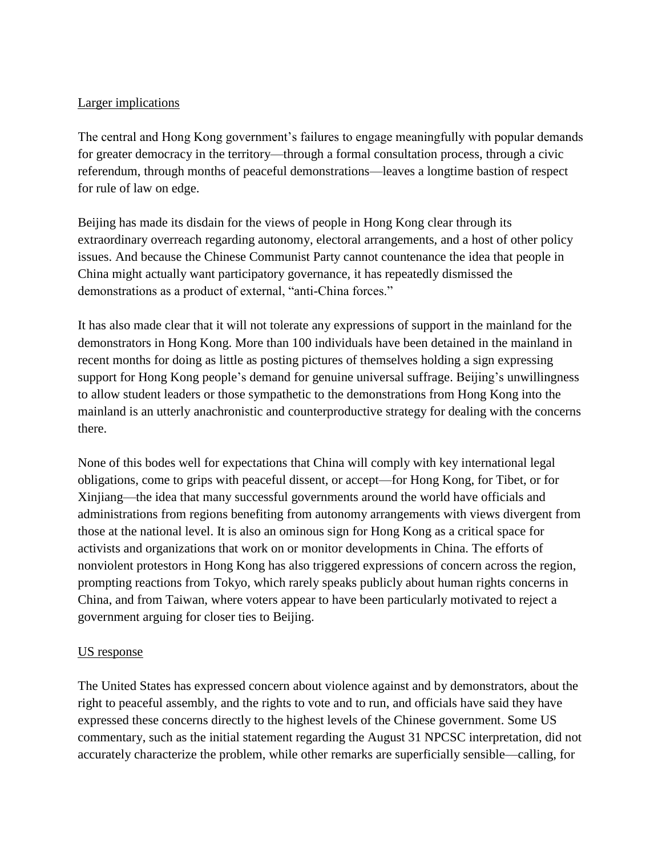### Larger implications

The central and Hong Kong government's failures to engage meaningfully with popular demands for greater democracy in the territory—through a formal consultation process, through a civic referendum, through months of peaceful demonstrations—leaves a longtime bastion of respect for rule of law on edge.

Beijing has made its disdain for the views of people in Hong Kong clear through its extraordinary overreach regarding autonomy, electoral arrangements, and a host of other policy issues. And because the Chinese Communist Party cannot countenance the idea that people in China might actually want participatory governance, it has repeatedly dismissed the demonstrations as a product of external, "anti-China forces."

It has also made clear that it will not tolerate any expressions of support in the mainland for the demonstrators in Hong Kong. More than 100 individuals have been detained in the mainland in recent months for doing as little as posting pictures of themselves holding a sign expressing support for Hong Kong people's demand for genuine universal suffrage. Beijing's unwillingness to allow student leaders or those sympathetic to the demonstrations from Hong Kong into the mainland is an utterly anachronistic and counterproductive strategy for dealing with the concerns there.

None of this bodes well for expectations that China will comply with key international legal obligations, come to grips with peaceful dissent, or accept—for Hong Kong, for Tibet, or for Xinjiang—the idea that many successful governments around the world have officials and administrations from regions benefiting from autonomy arrangements with views divergent from those at the national level. It is also an ominous sign for Hong Kong as a critical space for activists and organizations that work on or monitor developments in China. The efforts of nonviolent protestors in Hong Kong has also triggered expressions of concern across the region, prompting reactions from Tokyo, which rarely speaks publicly about human rights concerns in China, and from Taiwan, where voters appear to have been particularly motivated to reject a government arguing for closer ties to Beijing.

# US response

The United States has expressed concern about violence against and by demonstrators, about the right to peaceful assembly, and the rights to vote and to run, and officials have said they have expressed these concerns directly to the highest levels of the Chinese government. Some US commentary, such as the initial statement regarding the August 31 NPCSC interpretation, did not accurately characterize the problem, while other remarks are superficially sensible—calling, for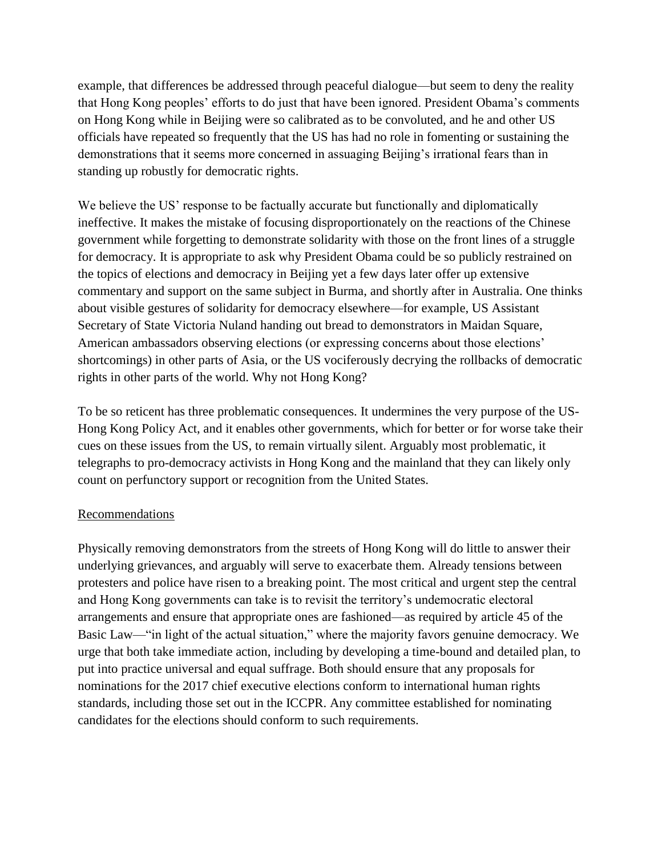example, that differences be addressed through peaceful dialogue—but seem to deny the reality that Hong Kong peoples' efforts to do just that have been ignored. President Obama's comments on Hong Kong while in Beijing were so calibrated as to be convoluted, and he and other US officials have repeated so frequently that the US has had no role in fomenting or sustaining the demonstrations that it seems more concerned in assuaging Beijing's irrational fears than in standing up robustly for democratic rights.

We believe the US' response to be factually accurate but functionally and diplomatically ineffective. It makes the mistake of focusing disproportionately on the reactions of the Chinese government while forgetting to demonstrate solidarity with those on the front lines of a struggle for democracy. It is appropriate to ask why President Obama could be so publicly restrained on the topics of elections and democracy in Beijing yet a few days later offer up extensive commentary and support on the same subject in Burma, and shortly after in Australia. One thinks about visible gestures of solidarity for democracy elsewhere—for example, US Assistant Secretary of State Victoria Nuland handing out bread to demonstrators in Maidan Square, American ambassadors observing elections (or expressing concerns about those elections' shortcomings) in other parts of Asia, or the US vociferously decrying the rollbacks of democratic rights in other parts of the world. Why not Hong Kong?

To be so reticent has three problematic consequences. It undermines the very purpose of the US-Hong Kong Policy Act, and it enables other governments, which for better or for worse take their cues on these issues from the US, to remain virtually silent. Arguably most problematic, it telegraphs to pro-democracy activists in Hong Kong and the mainland that they can likely only count on perfunctory support or recognition from the United States.

# Recommendations

Physically removing demonstrators from the streets of Hong Kong will do little to answer their underlying grievances, and arguably will serve to exacerbate them. Already tensions between protesters and police have risen to a breaking point. The most critical and urgent step the central and Hong Kong governments can take is to revisit the territory's undemocratic electoral arrangements and ensure that appropriate ones are fashioned—as required by article 45 of the Basic Law—"in light of the actual situation," where the majority favors genuine democracy. We urge that both take immediate action, including by developing a time-bound and detailed plan, to put into practice universal and equal suffrage. Both should ensure that any proposals for nominations for the 2017 chief executive elections conform to international human rights standards, including those set out in the ICCPR. Any committee established for nominating candidates for the elections should conform to such requirements.